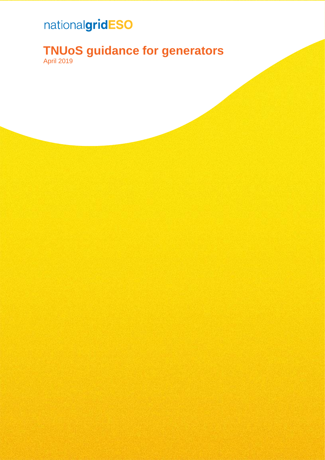### nationalgridESO

### **TNUoS guidance for generators**

April 2019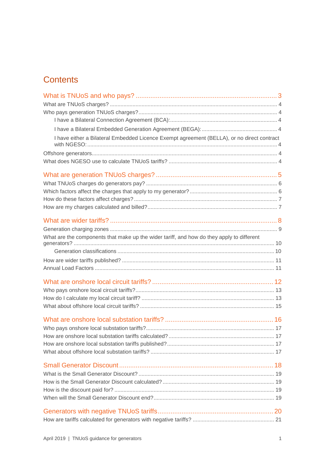### **Contents**

| I have either a Bilateral Embedded Licence Exempt agreement (BELLA), or no direct contract |  |
|--------------------------------------------------------------------------------------------|--|
|                                                                                            |  |
|                                                                                            |  |
|                                                                                            |  |
|                                                                                            |  |
|                                                                                            |  |
|                                                                                            |  |
|                                                                                            |  |
|                                                                                            |  |
|                                                                                            |  |
|                                                                                            |  |
| What are the components that make up the wider tariff, and how do they apply to different  |  |
|                                                                                            |  |
|                                                                                            |  |
|                                                                                            |  |
|                                                                                            |  |
|                                                                                            |  |
|                                                                                            |  |
|                                                                                            |  |
|                                                                                            |  |
|                                                                                            |  |
|                                                                                            |  |
|                                                                                            |  |
|                                                                                            |  |
|                                                                                            |  |
|                                                                                            |  |
|                                                                                            |  |
|                                                                                            |  |
|                                                                                            |  |
|                                                                                            |  |
|                                                                                            |  |
|                                                                                            |  |
|                                                                                            |  |
|                                                                                            |  |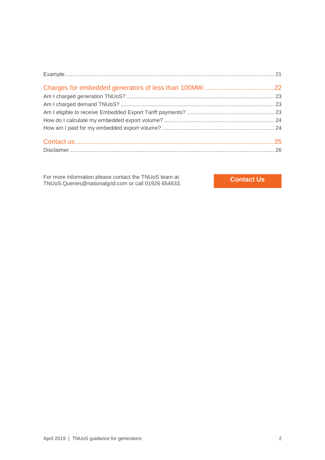For more information please contact the TNUoS team at For more information please contact the TNUoS team at<br>TNUoS.Queries@nationalgrid.com or call 01926 654633.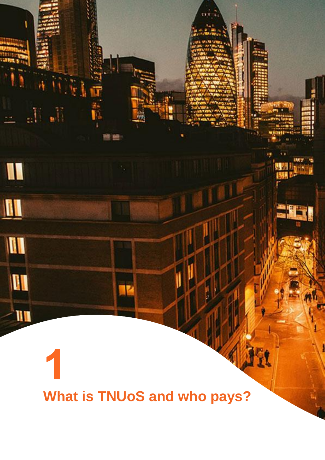<span id="page-3-0"></span>**What is TNUoS and who pays?**

<u>li i La</u>

 $\mathbb{R}^n$ 

I

 $\blacksquare$ 

III

**III** 

 $-$ uu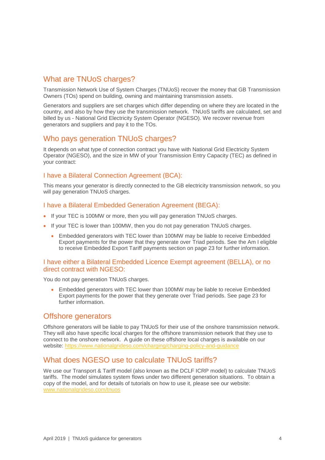### <span id="page-4-0"></span>What are TNUoS charges?

Transmission Network Use of System Charges (TNUoS) recover the money that GB Transmission Owners (TOs) spend on building, owning and maintaining transmission assets.

Generators and suppliers are set charges which differ depending on where they are located in the country, and also by how they use the transmission network. TNUoS tariffs are calculated, set and billed by us - National Grid Electricity System Operator (NGESO). We recover revenue from generators and suppliers and pay it to the TOs.

### <span id="page-4-1"></span>Who pays generation TNUoS charges?

It depends on what type of connection contract you have with National Grid Electricity System Operator (NGESO), and the size in MW of your Transmission Entry Capacity (TEC) as defined in your contract:

#### <span id="page-4-2"></span>I have a Bilateral Connection Agreement (BCA):

This means your generator is directly connected to the GB electricity transmission network, so you will pay generation TNUoS charges.

#### <span id="page-4-3"></span>I have a Bilateral Embedded Generation Agreement (BEGA):

- If your TEC is 100MW or more, then you will pay generation TNUoS charges.
- If your TEC is lower than 100MW, then you do not pay generation TNUoS charges.
	- Embedded generators with TEC lower than 100MW may be liable to receive Embedded Export payments for the power that they generate over Triad periods. See the [Am I eligible](#page-23-2)  [to receive Embedded Export Tariff payments](#page-23-2) section on page [23](#page-23-2) for further information.

#### <span id="page-4-4"></span>I have either a Bilateral Embedded Licence Exempt agreement (BELLA), or no direct contract with NGESO:

You do not pay generation TNUoS charges.

• Embedded generators with TEC lower than 100MW may be liable to receive Embedded Export payments for the power that they generate over Triad periods. See page [23](#page-23-2) for further information.

### <span id="page-4-5"></span>Offshore generators

Offshore generators will be liable to pay TNUoS for their use of the onshore transmission network. They will also have specific local charges for the offshore transmission network that they use to connect to the onshore network. A guide on these offshore local charges is available on our website:<https://www.nationalgrideso.com/charging/charging-policy-and-guidance>

### <span id="page-4-6"></span>What does NGESO use to calculate TNUoS tariffs?

We use our Transport & Tariff model (also known as the DCLF ICRP model) to calculate TNUoS tariffs. The model simulates system flows under two different generation situations. To obtain a copy of the model, and for details of tutorials on how to use it, please see our website: [www.nationalgrideso.com/tnuos](http://www.nationalgrideso.com/tnuos)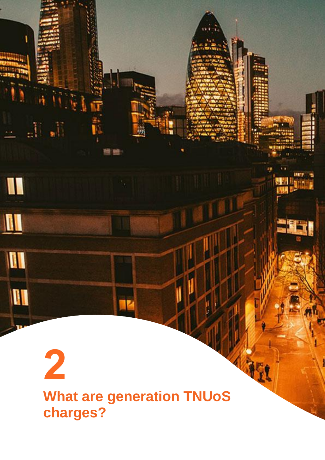## <span id="page-5-0"></span> $\overline{\mathbf{2}}$ **What are generation TNUoS charges?**

 $\mathcal{M}_{\text{eff}}$ 

 $\blacksquare$ 

 $\blacksquare$ 

 $\blacksquare$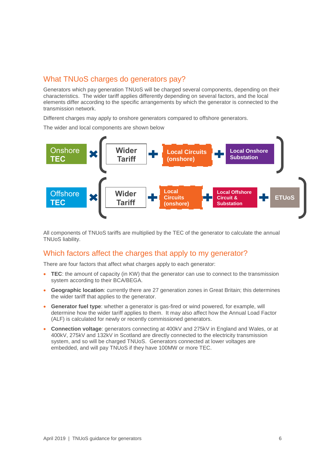### <span id="page-6-0"></span>What TNUoS charges do generators pay?

Generators which pay generation TNUoS will be charged several components, depending on their characteristics. The wider tariff applies differently depending on several factors, and the local elements differ according to the specific arrangements by which the generator is connected to the transmission network.

Different charges may apply to onshore generators compared to offshore generators.

The wider and local components are shown below



All components of TNUoS tariffs are multiplied by the TEC of the generator to calculate the annual TNUoS liability.

### <span id="page-6-1"></span>Which factors affect the charges that apply to my generator?

There are four factors that affect what charges apply to each generator:

- **TEC**: the amount of capacity (in KW) that the generator can use to connect to the transmission system according to their BCA/BEGA.
- **Geographic location**: currently there are 27 generation zones in Great Britain; this determines the wider tariff that applies to the generator.
- **Generator fuel type**: whether a generator is gas-fired or wind powered, for example, will determine how the wider tariff applies to them. It may also affect how the Annual Load Factor (ALF) is calculated for newly or recently commissioned generators.
- **Connection voltage**: generators connecting at 400kV and 275kV in England and Wales, or at 400kV, 275kV and 132kV in Scotland are directly connected to the electricity transmission system, and so will be charged TNUoS. Generators connected at lower voltages are embedded, and will pay TNUoS if they have 100MW or more TEC.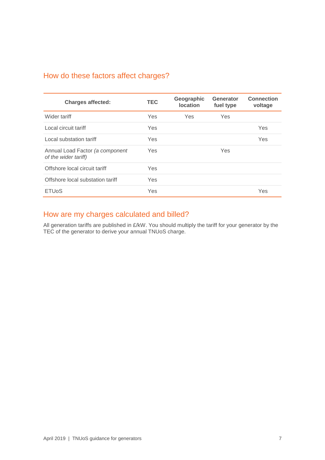### <span id="page-7-0"></span>How do these factors affect charges?

| <b>Charges affected:</b>                                | <b>TEC</b> | Geographic<br><b>location</b> | Generator<br>fuel type | <b>Connection</b><br>voltage |
|---------------------------------------------------------|------------|-------------------------------|------------------------|------------------------------|
| Wider tariff                                            | Yes        | <b>Yes</b>                    | Yes                    |                              |
| Local circuit tariff                                    | Yes        |                               |                        | <b>Yes</b>                   |
| Local substation tariff                                 | Yes        |                               |                        | Yes                          |
| Annual Load Factor (a component<br>of the wider tariff) | Yes        |                               | <b>Yes</b>             |                              |
| Offshore local circuit tariff                           | Yes        |                               |                        |                              |
| Offshore local substation tariff                        | Yes        |                               |                        |                              |
| <b>ETU<sub>o</sub>S</b>                                 | Yes        |                               |                        | Yes                          |

### <span id="page-7-1"></span>How are my charges calculated and billed?

All generation tariffs are published in £/kW. You should multiply the tariff for your generator by the TEC of the generator to derive your annual TNUoS charge.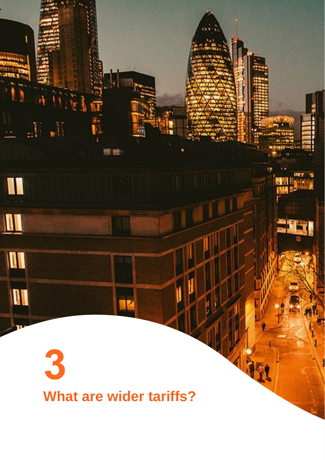# <span id="page-8-0"></span>3 **What are wider tariffs?**

 $\frac{1}{2} \prod_{i=1}^n \frac{1}{2}$ 

I

 $\blacksquare$ 

II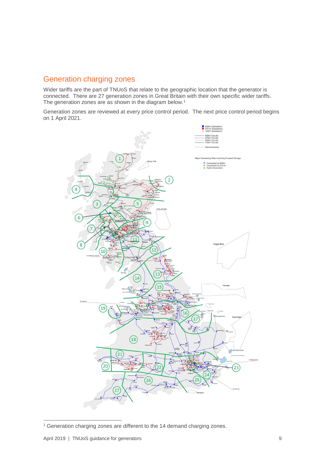### <span id="page-9-0"></span>Generation charging zones

Wider tariffs are the part of TNUoS that relate to the geographic location that the generator is connected. There are 27 generation zones in Great Britain with their own specific wider tariffs. The generation zones are as shown in the diagram below.<sup>1</sup>

Generation zones are reviewed at every price control period. The next price control period begins on 1 April 2021.



<sup>&</sup>lt;sup>1</sup> Generation charging zones are different to the 14 demand charging zones.

-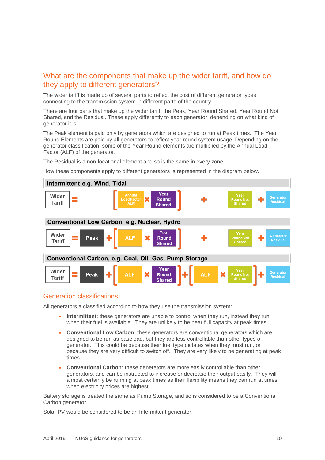### <span id="page-10-0"></span>What are the components that make up the wider tariff, and how do they apply to different generators?

The wider tariff is made up of several parts to reflect the cost of different generator types connecting to the transmission system in different parts of the country.

There are four parts that make up the wider tariff: the Peak, Year Round Shared, Year Round Not Shared, and the Residual. These apply differently to each generator, depending on what kind of generator it is.

The Peak element is paid only by generators which are designed to run at Peak times. The Year Round Elements are paid by all generators to reflect year round system usage. Depending on the generator classification, some of the Year Round elements are multiplied by the Annual Load Factor (ALF) of the generator.

The Residual is a non-locational element and so is the same in every zone.

How these components apply to different generators is represented in the diagram below.



### <span id="page-10-1"></span>Generation classifications

All generators a classified according to how they use the transmission system:

- **Intermittent**: these generators are unable to control when they run, instead they run when their fuel is available. They are unlikely to be near full capacity at peak times.
- **Conventional Low Carbon**: these generators are conventional generators which are designed to be run as baseload, but they are less controllable than other types of generator. This could be because their fuel type dictates when they must run, or because they are very difficult to switch off. They are very likely to be generating at peak times.
- **Conventional Carbon**: these generators are more easily controllable than other generators, and can be instructed to increase or decrease their output easily. They will almost certainly be running at peak times as their flexibility means they can run at times when electricity prices are highest.

Battery storage is treated the same as Pump Storage, and so is considered to be a Conventional Carbon generator.

Solar PV would be considered to be an Intermittent generator.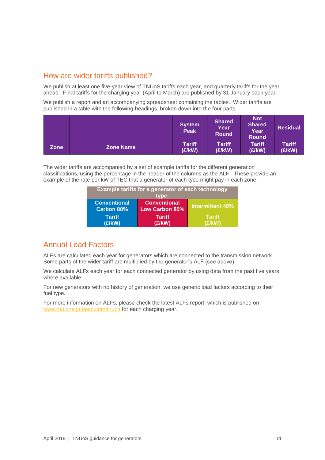### <span id="page-11-0"></span>How are wider tariffs published?

We publish at least one five-year view of TNUoS tariffs each year, and quarterly tariffs for the year ahead. Final tariffs for the charging year (April to March) are published by 31 January each year.

We publish a report and an accompanying spreadsheet containing the tables. Wider tariffs are published in a table with the following headings, broken down into the four parts.

|      |                  | <b>System</b><br><b>Peak</b> | <b>Shared</b><br>Year<br><b>Round</b> | <b>Not</b><br>Shared<br>Year<br><b>Round</b> | <b>Residual</b>         |
|------|------------------|------------------------------|---------------------------------------|----------------------------------------------|-------------------------|
| Zone | <b>Zone Name</b> | <b>Tariff</b><br>(E/KW)      | <b>Tariff</b><br>(E/KW)               | Tariff<br>(£/kW)                             | <b>Tariff</b><br>(£/kW) |

The wider tariffs are accompanied by a set of example tariffs for the different generation classifications, using the percentage in the header of the columns as the ALF: These provide an example of the rate per kW of TEC that a generator of each type might pay in each zone.

| Example tariffs for a generator of each technology<br>tvpe: |                                              |                         |  |
|-------------------------------------------------------------|----------------------------------------------|-------------------------|--|
| <b>Conventional</b><br><b>Carbon 80%</b>                    | <b>Conventional</b><br><b>Low Carbon 80%</b> | Intermittent 40%        |  |
| <b>Tariff</b><br>(E/KW)                                     | <b>Tariff</b><br>(£/kW)                      | <b>Tariff</b><br>(E/KW) |  |

### <span id="page-11-1"></span>Annual Load Factors

ALFs are calculated each year for generators which are connected to the transmission network. Some parts of the wider tariff are multiplied by the generator's ALF (see above).

We calculate ALFs each year for each connected generator by using data from the past five years where available.

For new generators with no history of generation, we use generic load factors according to their fuel type.

For more information on ALFs, please check the latest ALFs report, which is published on [www.nationalgrideso.com/tnuos](http://www.nationalgrideso.com/tnuos) for each charging year.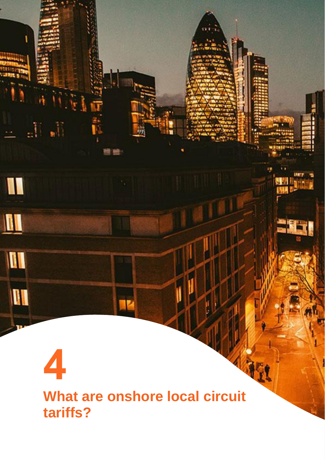<span id="page-12-0"></span>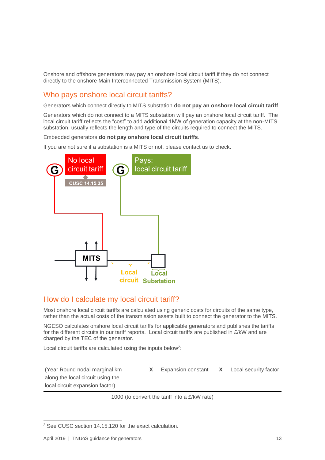Onshore and offshore generators may pay an onshore local circuit tariff if they do not connect directly to the onshore Main Interconnected Transmission System (MITS).

### <span id="page-13-0"></span>Who pays onshore local circuit tariffs?

Generators which connect directly to MITS substation **do not pay an onshore local circuit tariff**.

Generators which do not connect to a MITS substation will pay an onshore local circuit tariff. The local circuit tariff reflects the "cost" to add additional 1MW of generation capacity at the non-MITS substation, usually reflects the length and type of the circuits required to connect the MITS.

Embedded generators **do not pay onshore local circuit tariffs**.

If you are not sure if a substation is a MITS or not, please contact us to check.



### <span id="page-13-1"></span>How do I calculate my local circuit tariff?

Most onshore local circuit tariffs are calculated using generic costs for circuits of the same type, rather than the actual costs of the transmission assets built to connect the generator to the MITS.

NGESO calculates onshore local circuit tariffs for applicable generators and publishes the tariffs for the different circuits in our tariff reports. Local circuit tariffs are published in £/kW and are charged by the TEC of the generator.

Local circuit tariffs are calculated using the inputs below<sup>2</sup>:

(Year Round nodal marginal km along the local circuit using the local circuit expansion factor)

-

**X** Expansion constant **X** Local security factor

1000 (to convert the tariff into a £/kW rate)

<sup>2</sup> See CUSC section 14.15.120 for the exact calculation.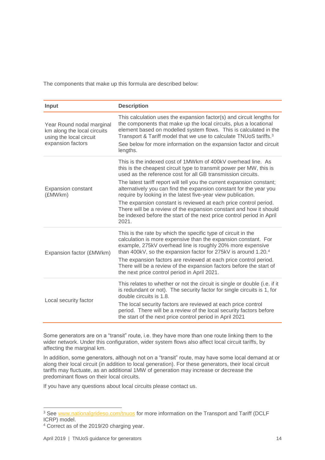The components that make up this formula are described below:

| Input                                                                                                    | <b>Description</b>                                                                                                                                                                                                                                                                                                                                                                                                                                                                                                                                                                                                                              |
|----------------------------------------------------------------------------------------------------------|-------------------------------------------------------------------------------------------------------------------------------------------------------------------------------------------------------------------------------------------------------------------------------------------------------------------------------------------------------------------------------------------------------------------------------------------------------------------------------------------------------------------------------------------------------------------------------------------------------------------------------------------------|
| Year Round nodal marginal<br>km along the local circuits<br>using the local circuit<br>expansion factors | This calculation uses the expansion factor(s) and circuit lengths for<br>the components that make up the local circuits, plus a locational<br>element based on modelled system flows. This is calculated in the<br>Transport & Tariff model that we use to calculate TNUoS tariffs. <sup>3</sup><br>See below for more information on the expansion factor and circuit<br>lengths.                                                                                                                                                                                                                                                              |
| <b>Expansion constant</b><br>(£MWkm)                                                                     | This is the indexed cost of 1MWkm of 400kV overhead line. As<br>this is the cheapest circuit type to transmit power per MW, this is<br>used as the reference cost for all GB transmission circuits.<br>The latest tariff report will tell you the current expansion constant;<br>alternatively you can find the expansion constant for the year you<br>require by looking in the latest five-year view publication.<br>The expansion constant is reviewed at each price control period.<br>There will be a review of the expansion constant and how it should<br>be indexed before the start of the next price control period in April<br>2021. |
| Expansion factor (£MWkm)                                                                                 | This is the rate by which the specific type of circuit in the<br>calculation is more expensive than the expansion constant. For<br>example, 275kV overhead line is roughly 20% more expensive<br>than 400kV, so the expansion factor for 275kV is around 1.20.4<br>The expansion factors are reviewed at each price control period.<br>There will be a review of the expansion factors before the start of<br>the next price control period in April 2021.                                                                                                                                                                                      |
| Local security factor                                                                                    | This relates to whether or not the circuit is single or double (i.e. if it<br>is redundant or not). The security factor for single circuits is 1, for<br>double circuits is 1.8.<br>The local security factors are reviewed at each price control<br>period. There will be a review of the local security factors before<br>the start of the next price control period in April 2021                                                                                                                                                                                                                                                            |

Some generators are on a "transit" route, i.e. they have more than one route linking them to the wider network. Under this configuration, wider system flows also affect local circuit tariffs, by affecting the marginal km.

In addition, some generators, although not on a "transit" route, may have some local demand at or along their local circuit (in addition to local generation). For these generators, their local circuit tariffs may fluctuate, as an additional 1MW of generation may increase or decrease the predominant flows on their local circuits.

If you have any questions about local circuits please contact us.

 $\overline{a}$ 

<sup>&</sup>lt;sup>3</sup> See [www.nationalgrideso.com/tnuos](http://www.nationalgrideso.com/tnuos) for more information on the Transport and Tariff (DCLF ICRP) model.

<sup>4</sup> Correct as of the 2019/20 charging year.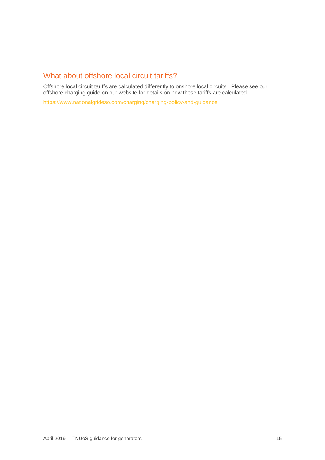### <span id="page-15-0"></span>What about offshore local circuit tariffs?

Offshore local circuit tariffs are calculated differently to onshore local circuits. Please see our offshore charging guide on our website for details on how these tariffs are calculated.

<https://www.nationalgrideso.com/charging/charging-policy-and-guidance>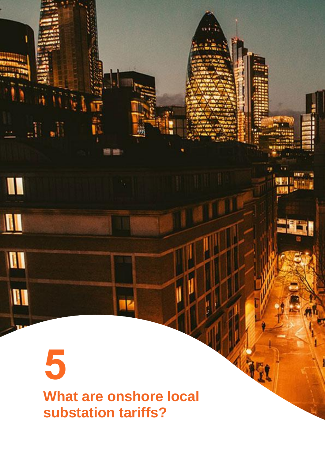## <span id="page-16-0"></span>5 **What are onshore local substation tariffs?**

 $\mathbb{H}_n$ 

I

 $\mathbf{u}$ 

 $\mathbf{u}$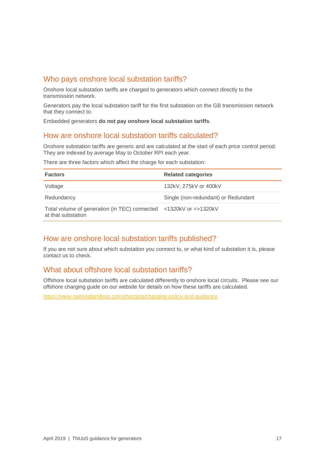### <span id="page-17-0"></span>Who pays onshore local substation tariffs?

Onshore local substation tariffs are charged to generators which connect directly to the transmission network.

Generators pay the local substation tariff for the first substation on the GB transmission network that they connect to.

Embedded generators **do not pay onshore local substation tariffs**.

### <span id="page-17-1"></span>How are onshore local substation tariffs calculated?

Onshore substation tariffs are generic and are calculated at the start of each price control period. They are indexed by average May to October RPI each year.

There are three factors which affect the charge for each substation:

| <b>Factors</b>                                                                          | <b>Related categories</b>           |
|-----------------------------------------------------------------------------------------|-------------------------------------|
| Voltage                                                                                 | 132kV, 275kV or 400kV               |
| Redundancy                                                                              | Single (non-redundant) or Redundant |
| Total volume of generation (in TEC) connected <1320kV or =>1320kV<br>at that substation |                                     |

### <span id="page-17-2"></span>How are onshore local substation tariffs published?

If you are not sure about which substation you connect to, or what kind of substation it is, please contact us to check.

### <span id="page-17-3"></span>What about offshore local substation tariffs?

Offshore local substation tariffs are calculated differently to onshore local circuits. Please see our offshore charging guide on our website for details on how these tariffs are calculated.

<https://www.nationalgrideso.com/charging/charging-policy-and-guidance>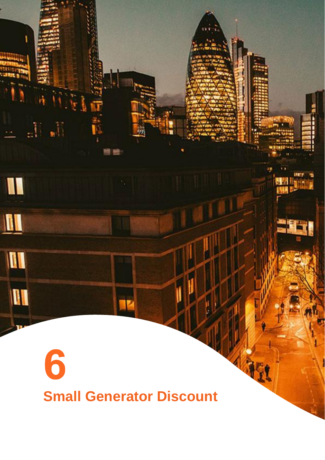# <span id="page-18-0"></span>6 **Small Generator Discount**

 $\mathbb{H}_n$ 

I

 $\mathbf{u}$ 

III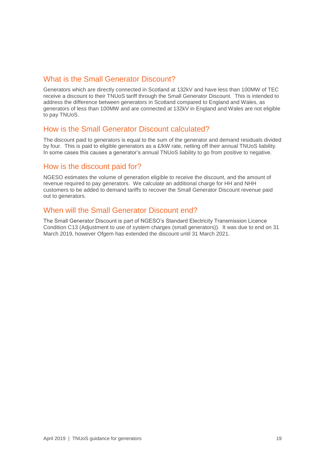### <span id="page-19-0"></span>What is the Small Generator Discount?

Generators which are directly connected in Scotland at 132kV and have less than 100MW of TEC receive a discount to their TNUoS tariff through the Small Generator Discount. This is intended to address the difference between generators in Scotland compared to England and Wales, as generators of less than 100MW and are connected at 132kV in England and Wales are not eligible to pay TNUoS.

### <span id="page-19-1"></span>How is the Small Generator Discount calculated?

The discount paid to generators is equal to the sum of the generator and demand residuals divided by four. This is paid to eligible generators as a £/kW rate, netting off their annual TNUoS liability. In some cases this causes a generator's annual TNUoS liability to go from positive to negative.

### <span id="page-19-2"></span>How is the discount paid for?

NGESO estimates the volume of generation eligible to receive the discount, and the amount of revenue required to pay generators. We calculate an additional charge for HH and NHH customers to be added to demand tariffs to recover the Small Generator Discount revenue paid out to generators.

### <span id="page-19-3"></span>When will the Small Generator Discount end?

The Small Generator Discount is part of NGESO's Standard Electricity Transmission Licence Condition C13 (Adjustment to use of system charges (small generators)). It was due to end on 31 March 2019, however Ofgem has extended the discount until 31 March 2021.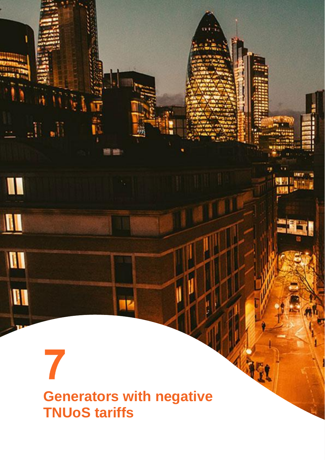### <span id="page-20-0"></span>7 **Generators with negative TNUoS tariffs**

 $\mathcal{M}$  ,  $\mathcal{M}_\text{eff}$ 

I

 $\mathbf{u}$ 

II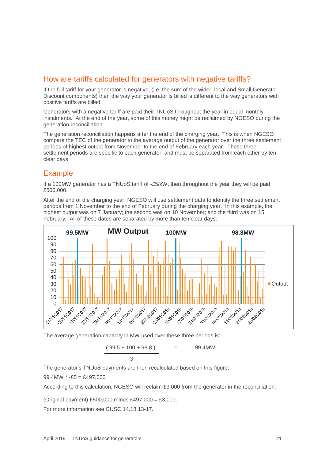### <span id="page-21-0"></span>How are tariffs calculated for generators with negative tariffs?

If the full tariff for your generator is negative, (i.e. the sum of the wider, local and Small Generator Discount components) then the way your generator is billed is different to the way generators with positive tariffs are billed.

Generators with a negative tariff are paid their TNUoS throughout the year in equal monthly instalments. At the end of the year, some of this money might be reclaimed by NGESO during the generation reconciliation.

The generation reconciliation happens after the end of the charging year. This is when NGESO compare the TEC of the generator to the average output of the generator over the three settlement periods of highest output from November to the end of February each year. These three settlement periods are specific to each generator, and must be separated from each other by ten clear days.

### <span id="page-21-1"></span>Example

If a 100MW generator has a TNUoS tariff of -£5/kW, then throughout the year they will be paid £500,000.

After the end of the charging year, NGESO will use settlement data to identify the three settlement periods from 1 November to the end of February during the charging year. In this example, the highest output was on 7 January; the second was on 10 November; and the third was on 15 February. All of these dates are separated by more than ten clear days:



The average generation capacity in MW used over these three periods is:

 $(99.5 + 100 + 98.8) = 99.4$  MW 3

The generator's TNUoS payments are then recalculated based on this figure:

99.4MW  $* -E5 = \text{\pounds}497.000$ 

According to this calculation, NGESO will reclaim £3,000 from the generator in the reconciliation:

(Original payment) £500,000 minus £497,000 = £3,000.

For more information see CUSC 14.18.13-17.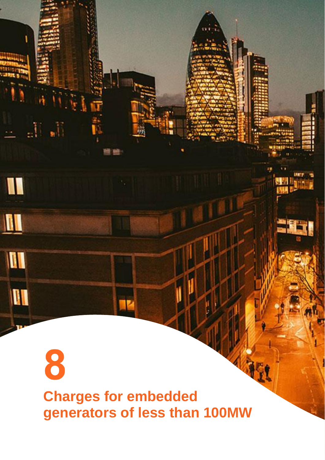## <span id="page-22-0"></span>8 **Charges for embedded generators of less than 100MW**

 $\mathbb{R}^n$ 

 $\blacksquare$ 

 $\blacksquare$ 

 $\mathbf{u}$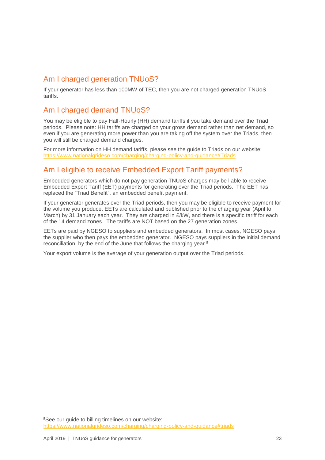### <span id="page-23-0"></span>Am I charged generation TNUoS?

If your generator has less than 100MW of TEC, then you are not charged generation TNUoS tariffs.

### <span id="page-23-1"></span>Am I charged demand TNUoS?

You may be eligible to pay Half-Hourly (HH) demand tariffs if you take demand over the Triad periods. Please note: HH tariffs are charged on your gross demand rather than net demand, so even if you are generating more power than you are taking off the system over the Triads, then you will still be charged demand charges.

For more information on HH demand tariffs, please see the guide to Triads on our website: [https://www.nationalgrideso.com/charging/charging-policy-and-guidance#Triads](https://www.nationalgrideso.com/charging/charging-policy-and-guidance#triads)

### <span id="page-23-2"></span>Am I eligible to receive Embedded Export Tariff payments?

Embedded generators which do not pay generation TNUoS charges may be liable to receive Embedded Export Tariff (EET) payments for generating over the Triad periods. The EET has replaced the "Triad Benefit", an embedded benefit payment.

If your generator generates over the Triad periods, then you may be eligible to receive payment for the volume you produce. EETs are calculated and published prior to the charging year (April to March) by 31 January each year. They are charged in £/kW, and there is a specific tariff for each of the 14 demand zones. The tariffs are NOT based on the 27 generation zones.

EETs are paid by NGESO to suppliers and embedded generators. In most cases, NGESO pays the supplier who then pays the embedded generator. NGESO pays suppliers in the initial demand reconciliation, by the end of the June that follows the charging year.<sup>5</sup>

Your export volume is the average of your generation output over the Triad periods.

 $\overline{a}$ 

<sup>5</sup>See our guide to billing timelines on our website: <https://www.nationalgrideso.com/charging/charging-policy-and-guidance#triads>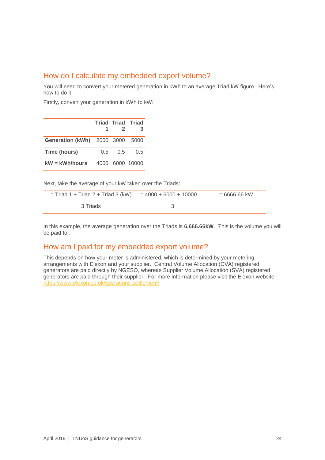### <span id="page-24-0"></span>How do I calculate my embedded export volume?

You will need to convert your metered generation in kWh to an average Triad kW figure. Here's how to do it:

Firstly, convert your generation in kWh to kW:

|                                 | 1.      | $\mathcal{P}$ | <b>Triad Triad Triad</b><br>3 |
|---------------------------------|---------|---------------|-------------------------------|
| Generation (kWh) 2000 3000 5000 |         |               |                               |
| Time (hours)                    | $0.5 -$ | 0.5           | 0.5                           |
| $KW = KWh/hours$                |         |               | 4000 6000 10000               |

Next, take the average of your kW taken over the Triads:

| $=$ Triad 1 + Triad 2 + Triad 3 (kW) | $= 4000 + 6000 + 10000$ | $= 6666.66$ kW |
|--------------------------------------|-------------------------|----------------|
| -3 Triads                            |                         |                |

In this example, the average generation over the Triads is **6,666.66kW**. This is the volume you will be paid for.

### <span id="page-24-1"></span>How am I paid for my embedded export volume?

This depends on how your meter is administered, which is determined by your metering arrangements with Elexon and your supplier. Central Volume Allocation (CVA) registered generators are paid directly by NGESO, whereas Supplier Volume Allocation (SVA) registered generators are paid through their supplier. For more information please visit the Elexon website [https://www.elexon.co.uk/operations-settlement/.](https://www.elexon.co.uk/operations-settlement/)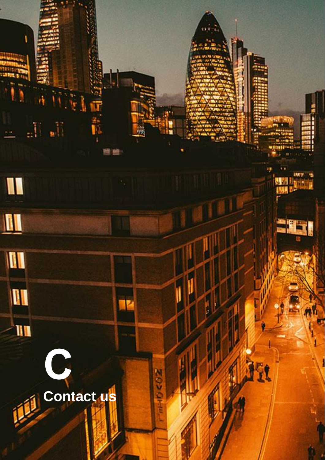<span id="page-25-0"></span>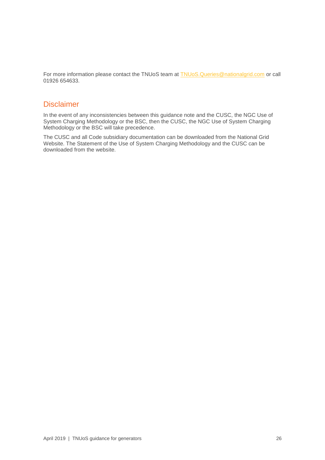For more information please contact the TNUoS team at [TNUoS.Queries@nationalgrid.com](mailto:TNUoS.Queries@nationalgrid.com) or call 01926 654633.

### <span id="page-26-0"></span>**Disclaimer**

In the event of any inconsistencies between this guidance note and the CUSC, the NGC Use of System Charging Methodology or the BSC, then the CUSC, the NGC Use of System Charging Methodology or the BSC will take precedence.

The CUSC and all Code subsidiary documentation can be downloaded from the National Grid Website. The Statement of the Use of System Charging Methodology and the CUSC can be downloaded from the website.